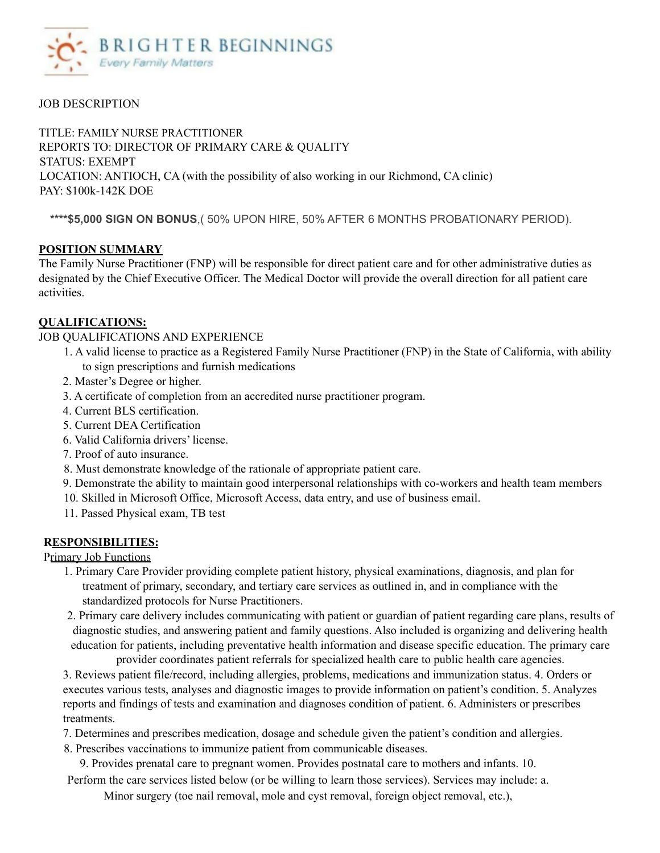

# JOB DESCRIPTION

TITLE: FAMILY NURSE PRACTITIONER REPORTS TO: DIRECTOR OF PRIMARY CARE & QUALITY STATUS: EXEMPT LOCATION: ANTIOCH, CA (with the possibility of also working in our Richmond, CA clinic) PAY: \$100k-142K DOE

**\*\*\*\*\$5,000 SIGN ON BONUS**,( 50% UPON HIRE, 50% AFTER 6 MONTHS PROBATIONARY PERIOD).

# **POSITION SUMMARY**

The Family Nurse Practitioner (FNP) will be responsible for direct patient care and for other administrative duties as designated by the Chief Executive Officer. The Medical Doctor will provide the overall direction for all patient care activities.

#### **QUALIFICATIONS:**

#### JOB QUALIFICATIONS AND EXPERIENCE

- 1. A valid license to practice as a Registered Family Nurse Practitioner (FNP) in the State of California, with ability to sign prescriptions and furnish medications
- 2. Master's Degree or higher.
- 3. A certificate of completion from an accredited nurse practitioner program.
- 4. Current BLS certification.
- 5. Current DEA Certification
- 6. Valid California drivers' license.
- 7. Proof of auto insurance.
- 8. Must demonstrate knowledge of the rationale of appropriate patient care.
- 9. Demonstrate the ability to maintain good interpersonal relationships with co-workers and health team members
- 10. Skilled in Microsoft Office, Microsoft Access, data entry, and use of business email.
- 11. Passed Physical exam, TB test

# **RESPONSIBILITIES:**

Primary Job Functions

- 1. Primary Care Provider providing complete patient history, physical examinations, diagnosis, and plan for treatment of primary, secondary, and tertiary care services as outlined in, and in compliance with the standardized protocols for Nurse Practitioners.
- 2. Primary care delivery includes communicating with patient or guardian of patient regarding care plans, results of diagnostic studies, and answering patient and family questions. Also included is organizing and delivering health education for patients, including preventative health information and disease specific education. The primary care provider coordinates patient referrals for specialized health care to public health care agencies.

3. Reviews patient file/record, including allergies, problems, medications and immunization status. 4. Orders or executes various tests, analyses and diagnostic images to provide information on patient's condition. 5. Analyzes reports and findings of tests and examination and diagnoses condition of patient. 6. Administers or prescribes treatments.

7. Determines and prescribes medication, dosage and schedule given the patient's condition and allergies.

8. Prescribes vaccinations to immunize patient from communicable diseases.

9. Provides prenatal care to pregnant women. Provides postnatal care to mothers and infants. 10.

Perform the care services listed below (or be willing to learn those services). Services may include: a.

Minor surgery (toe nail removal, mole and cyst removal, foreign object removal, etc.),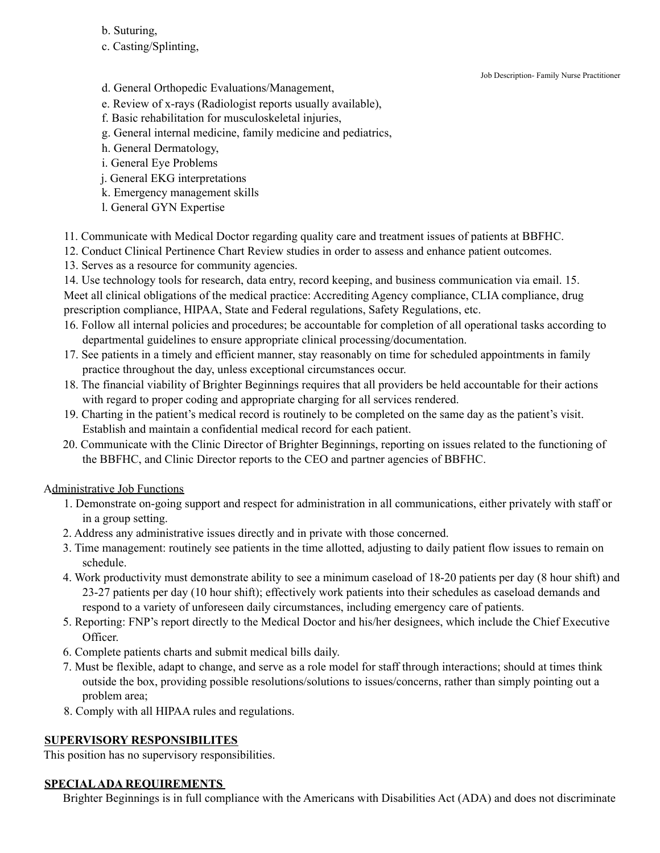- b. Suturing,
- c. Casting/Splinting,

Job Description- Family Nurse Practitioner

- d. General Orthopedic Evaluations/Management,
- e. Review of x-rays (Radiologist reports usually available),
- f. Basic rehabilitation for musculoskeletal injuries,
- g. General internal medicine, family medicine and pediatrics,
- h. General Dermatology,
- i. General Eye Problems
- j. General EKG interpretations
- k. Emergency management skills
- l. General GYN Expertise
- 11. Communicate with Medical Doctor regarding quality care and treatment issues of patients at BBFHC.
- 12. Conduct Clinical Pertinence Chart Review studies in order to assess and enhance patient outcomes.
- 13. Serves as a resource for community agencies.

14. Use technology tools for research, data entry, record keeping, and business communication via email. 15. Meet all clinical obligations of the medical practice: Accrediting Agency compliance, CLIA compliance, drug prescription compliance, HIPAA, State and Federal regulations, Safety Regulations, etc.

- 16. Follow all internal policies and procedures; be accountable for completion of all operational tasks according to departmental guidelines to ensure appropriate clinical processing/documentation.
- 17. See patients in a timely and efficient manner, stay reasonably on time for scheduled appointments in family practice throughout the day, unless exceptional circumstances occur.
- 18. The financial viability of Brighter Beginnings requires that all providers be held accountable for their actions with regard to proper coding and appropriate charging for all services rendered.
- 19. Charting in the patient's medical record is routinely to be completed on the same day as the patient's visit. Establish and maintain a confidential medical record for each patient.
- 20. Communicate with the Clinic Director of Brighter Beginnings, reporting on issues related to the functioning of the BBFHC, and Clinic Director reports to the CEO and partner agencies of BBFHC.

Administrative Job Functions

- 1. Demonstrate on-going support and respect for administration in all communications, either privately with staff or in a group setting.
- 2. Address any administrative issues directly and in private with those concerned.
- 3. Time management: routinely see patients in the time allotted, adjusting to daily patient flow issues to remain on schedule.
- 4. Work productivity must demonstrate ability to see a minimum caseload of 18-20 patients per day (8 hour shift) and 23-27 patients per day (10 hour shift); effectively work patients into their schedules as caseload demands and respond to a variety of unforeseen daily circumstances, including emergency care of patients.
- 5. Reporting: FNP's report directly to the Medical Doctor and his/her designees, which include the Chief Executive Officer.
- 6. Complete patients charts and submit medical bills daily.
- 7. Must be flexible, adapt to change, and serve as a role model for staff through interactions; should at times think outside the box, providing possible resolutions/solutions to issues/concerns, rather than simply pointing out a problem area;
- 8. Comply with all HIPAA rules and regulations.

# **SUPERVISORY RESPONSIBILITES**

This position has no supervisory responsibilities.

# **SPECIALADA REQUIREMENTS**

Brighter Beginnings is in full compliance with the Americans with Disabilities Act (ADA) and does not discriminate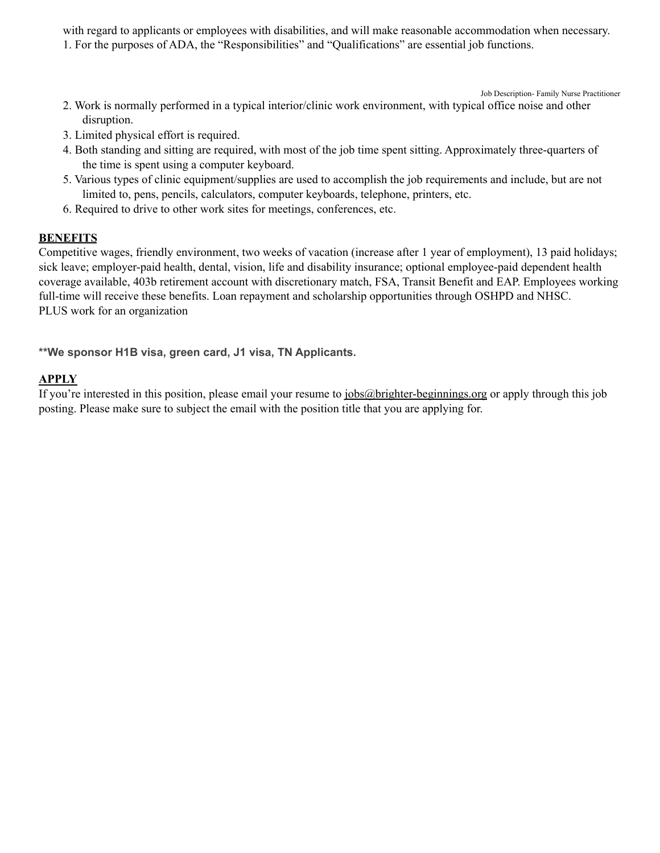with regard to applicants or employees with disabilities, and will make reasonable accommodation when necessary. 1. For the purposes of ADA, the "Responsibilities" and "Qualifications" are essential job functions.

Job Description- Family Nurse Practitioner

- 2. Work is normally performed in a typical interior/clinic work environment, with typical office noise and other disruption.
- 3. Limited physical effort is required.
- 4. Both standing and sitting are required, with most of the job time spent sitting. Approximately three-quarters of the time is spent using a computer keyboard.
- 5. Various types of clinic equipment/supplies are used to accomplish the job requirements and include, but are not limited to, pens, pencils, calculators, computer keyboards, telephone, printers, etc.
- 6. Required to drive to other work sites for meetings, conferences, etc.

#### **BENEFITS**

Competitive wages, friendly environment, two weeks of vacation (increase after 1 year of employment), 13 paid holidays; sick leave; employer-paid health, dental, vision, life and disability insurance; optional employee-paid dependent health coverage available, 403b retirement account with discretionary match, FSA, Transit Benefit and EAP. Employees working full-time will receive these benefits. Loan repayment and scholarship opportunities through OSHPD and NHSC. PLUS work for an organization

**\*\*We sponsor H1B visa, green card, J1 visa, TN Applicants.**

#### **APPLY**

If you're interested in this position, please email your resume to [jobs@brighter-beginnings.org](mailto:jobs@brighter-beginnings.org) or apply through this job posting. Please make sure to subject the email with the position title that you are applying for.